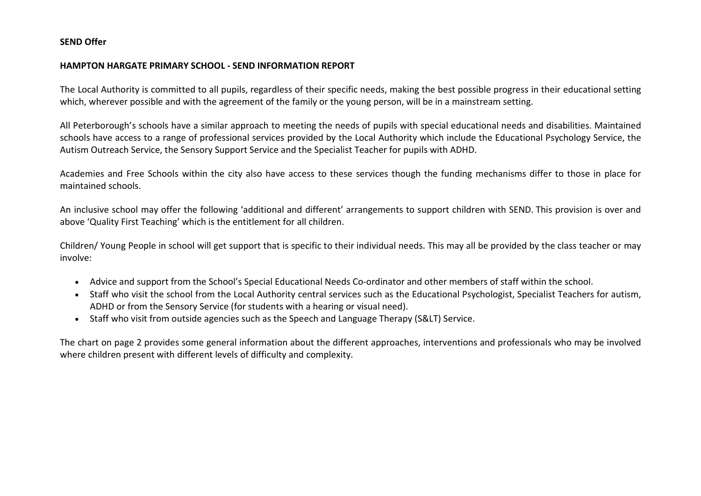## SEND Offer

## HAMPTON HARGATE PRIMARY SCHOOL - SEND INFORMATION REPORT

The Local Authority is committed to all pupils, regardless of their specific needs, making the best possible progress in their educational setting which, wherever possible and with the agreement of the family or the young person, will be in a mainstream setting.

All Peterborough's schools have a similar approach to meeting the needs of pupils with special educational needs and disabilities. Maintained schools have access to a range of professional services provided by the Local Authority which include the Educational Psychology Service, the Autism Outreach Service, the Sensory Support Service and the Specialist Teacher for pupils with ADHD.

Academies and Free Schools within the city also have access to these services though the funding mechanisms differ to those in place for maintained schools.

An inclusive school may offer the following 'additional and different' arrangements to support children with SEND. This provision is over and above 'Quality First Teaching' which is the entitlement for all children.

Children/ Young People in school will get support that is specific to their individual needs. This may all be provided by the class teacher or may involve:

- Advice and support from the School's Special Educational Needs Co-ordinator and other members of staff within the school.
- Staff who visit the school from the Local Authority central services such as the Educational Psychologist, Specialist Teachers for autism, ADHD or from the Sensory Service (for students with a hearing or visual need).
- Staff who visit from outside agencies such as the Speech and Language Therapy (S&LT) Service.

The chart on page 2 provides some general information about the different approaches, interventions and professionals who may be involved where children present with different levels of difficulty and complexity.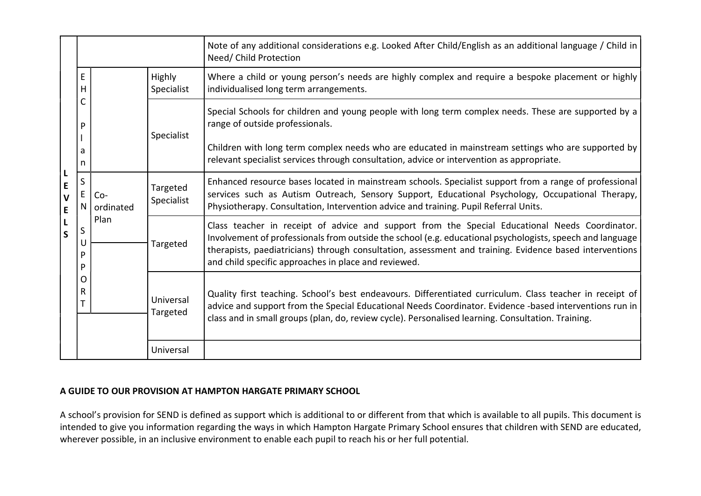|                                                              |                                           |                            |                        | Note of any additional considerations e.g. Looked After Child/English as an additional language / Child in<br>Need/ Child Protection                                                                                                                                                                                                                                           |
|--------------------------------------------------------------|-------------------------------------------|----------------------------|------------------------|--------------------------------------------------------------------------------------------------------------------------------------------------------------------------------------------------------------------------------------------------------------------------------------------------------------------------------------------------------------------------------|
|                                                              | E.<br>н<br>P<br>a<br>n                    |                            | Highly<br>Specialist   | Where a child or young person's needs are highly complex and require a bespoke placement or highly<br>individualised long term arrangements.                                                                                                                                                                                                                                   |
|                                                              |                                           |                            |                        | Special Schools for children and young people with long term complex needs. These are supported by a<br>range of outside professionals.                                                                                                                                                                                                                                        |
|                                                              |                                           |                            | Specialist             | Children with long term complex needs who are educated in mainstream settings who are supported by<br>relevant specialist services through consultation, advice or intervention as appropriate.                                                                                                                                                                                |
| $\mathsf{L}$<br>$\mathsf{E}$<br>$\mathbf{V}$<br>$\mathsf{E}$ | S<br>E<br>N<br>S<br>U<br>P<br>P<br>O<br>R | $Co-$<br>ordinated<br>Plan | Targeted<br>Specialist | Enhanced resource bases located in mainstream schools. Specialist support from a range of professional<br>services such as Autism Outreach, Sensory Support, Educational Psychology, Occupational Therapy,<br>Physiotherapy. Consultation, Intervention advice and training. Pupil Referral Units.                                                                             |
| L<br>$\mathsf{S}$                                            |                                           |                            | Targeted               | Class teacher in receipt of advice and support from the Special Educational Needs Coordinator.<br>Involvement of professionals from outside the school (e.g. educational psychologists, speech and language<br>therapists, paediatricians) through consultation, assessment and training. Evidence based interventions<br>and child specific approaches in place and reviewed. |
|                                                              |                                           |                            | Universal<br>Targeted  | Quality first teaching. School's best endeavours. Differentiated curriculum. Class teacher in receipt of<br>advice and support from the Special Educational Needs Coordinator. Evidence -based interventions run in<br>class and in small groups (plan, do, review cycle). Personalised learning. Consultation. Training.                                                      |
|                                                              |                                           |                            | Universal              |                                                                                                                                                                                                                                                                                                                                                                                |

## A GUIDE TO OUR PROVISION AT HAMPTON HARGATE PRIMARY SCHOOL

A school's provision for SEND is defined as support which is additional to or different from that which is available to all pupils. This document is intended to give you information regarding the ways in which Hampton Hargate Primary School ensures that children with SEND are educated, wherever possible, in an inclusive environment to enable each pupil to reach his or her full potential.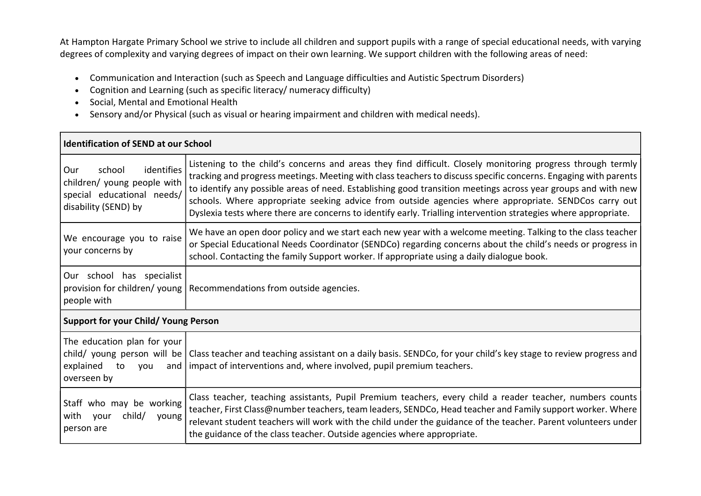At Hampton Hargate Primary School we strive to include all children and support pupils with a range of special educational needs, with varying degrees of complexity and varying degrees of impact on their own learning. We support children with the following areas of need:

- Communication and Interaction (such as Speech and Language difficulties and Autistic Spectrum Disorders)
- Cognition and Learning (such as specific literacy/ numeracy difficulty)
- Social, Mental and Emotional Health
- Sensory and/or Physical (such as visual or hearing impairment and children with medical needs).

| Identification of SEND at our School                                                                               |                                                                                                                                                                                                                                                                                                                                                                                                                                                                                                                                                                            |  |
|--------------------------------------------------------------------------------------------------------------------|----------------------------------------------------------------------------------------------------------------------------------------------------------------------------------------------------------------------------------------------------------------------------------------------------------------------------------------------------------------------------------------------------------------------------------------------------------------------------------------------------------------------------------------------------------------------------|--|
| identifies<br>school<br>  Our<br>children/ young people with<br>special educational needs/<br>disability (SEND) by | Listening to the child's concerns and areas they find difficult. Closely monitoring progress through termly<br>tracking and progress meetings. Meeting with class teachers to discuss specific concerns. Engaging with parents<br>to identify any possible areas of need. Establishing good transition meetings across year groups and with new<br>schools. Where appropriate seeking advice from outside agencies where appropriate. SENDCos carry out<br>Dyslexia tests where there are concerns to identify early. Trialling intervention strategies where appropriate. |  |
| We encourage you to raise<br>your concerns by                                                                      | We have an open door policy and we start each new year with a welcome meeting. Talking to the class teacher<br>or Special Educational Needs Coordinator (SENDCo) regarding concerns about the child's needs or progress in<br>school. Contacting the family Support worker. If appropriate using a daily dialogue book.                                                                                                                                                                                                                                                    |  |
| Our school has specialist<br>provision for children/ young  <br>people with                                        | Recommendations from outside agencies.                                                                                                                                                                                                                                                                                                                                                                                                                                                                                                                                     |  |
| Support for your Child/ Young Person                                                                               |                                                                                                                                                                                                                                                                                                                                                                                                                                                                                                                                                                            |  |
| The education plan for your<br>explained<br>to<br>you<br>overseen by                                               | child/ young person will be   Class teacher and teaching assistant on a daily basis. SENDCo, for your child's key stage to review progress and<br>and   impact of interventions and, where involved, pupil premium teachers.                                                                                                                                                                                                                                                                                                                                               |  |
| Staff who may be working<br>with your<br>child/<br>young<br>person are                                             | Class teacher, teaching assistants, Pupil Premium teachers, every child a reader teacher, numbers counts<br>teacher, First Class@number teachers, team leaders, SENDCo, Head teacher and Family support worker. Where<br>relevant student teachers will work with the child under the guidance of the teacher. Parent volunteers under<br>the guidance of the class teacher. Outside agencies where appropriate.                                                                                                                                                           |  |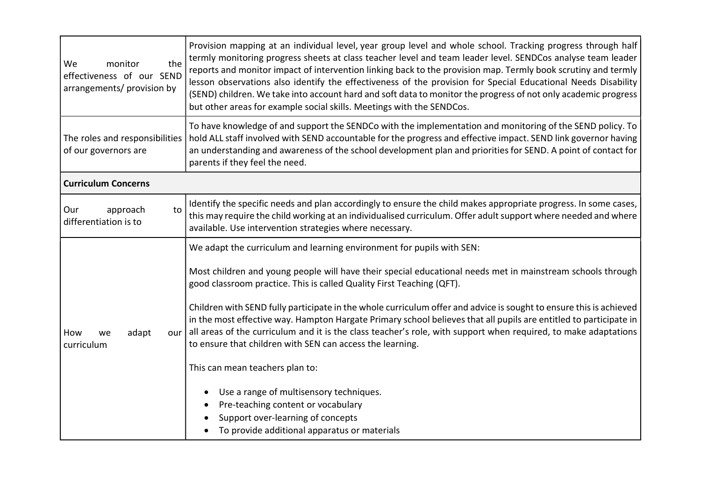| the<br>We<br>monitor<br>effectiveness of our SEND<br>arrangements/ provision by | Provision mapping at an individual level, year group level and whole school. Tracking progress through half<br>termly monitoring progress sheets at class teacher level and team leader level. SENDCos analyse team leader<br>reports and monitor impact of intervention linking back to the provision map. Termly book scrutiny and termly<br>lesson observations also identify the effectiveness of the provision for Special Educational Needs Disability<br>(SEND) children. We take into account hard and soft data to monitor the progress of not only academic progress<br>but other areas for example social skills. Meetings with the SENDCos.                                                                                                                                                                                                                                          |
|---------------------------------------------------------------------------------|--------------------------------------------------------------------------------------------------------------------------------------------------------------------------------------------------------------------------------------------------------------------------------------------------------------------------------------------------------------------------------------------------------------------------------------------------------------------------------------------------------------------------------------------------------------------------------------------------------------------------------------------------------------------------------------------------------------------------------------------------------------------------------------------------------------------------------------------------------------------------------------------------|
| The roles and responsibilities<br>of our governors are                          | To have knowledge of and support the SENDCo with the implementation and monitoring of the SEND policy. To<br>hold ALL staff involved with SEND accountable for the progress and effective impact. SEND link governor having<br>an understanding and awareness of the school development plan and priorities for SEND. A point of contact for<br>parents if they feel the need.                                                                                                                                                                                                                                                                                                                                                                                                                                                                                                                   |
| <b>Curriculum Concerns</b>                                                      |                                                                                                                                                                                                                                                                                                                                                                                                                                                                                                                                                                                                                                                                                                                                                                                                                                                                                                  |
| approach<br>Our<br>to<br>differentiation is to                                  | Identify the specific needs and plan accordingly to ensure the child makes appropriate progress. In some cases,<br>this may require the child working at an individualised curriculum. Offer adult support where needed and where<br>available. Use intervention strategies where necessary.                                                                                                                                                                                                                                                                                                                                                                                                                                                                                                                                                                                                     |
| How<br>adapt<br>our<br>we<br>curriculum                                         | We adapt the curriculum and learning environment for pupils with SEN:<br>Most children and young people will have their special educational needs met in mainstream schools through<br>good classroom practice. This is called Quality First Teaching (QFT).<br>Children with SEND fully participate in the whole curriculum offer and advice is sought to ensure this is achieved<br>in the most effective way. Hampton Hargate Primary school believes that all pupils are entitled to participate in<br>all areas of the curriculum and it is the class teacher's role, with support when required, to make adaptations<br>to ensure that children with SEN can access the learning.<br>This can mean teachers plan to:<br>Use a range of multisensory techniques.<br>Pre-teaching content or vocabulary<br>Support over-learning of concepts<br>To provide additional apparatus or materials |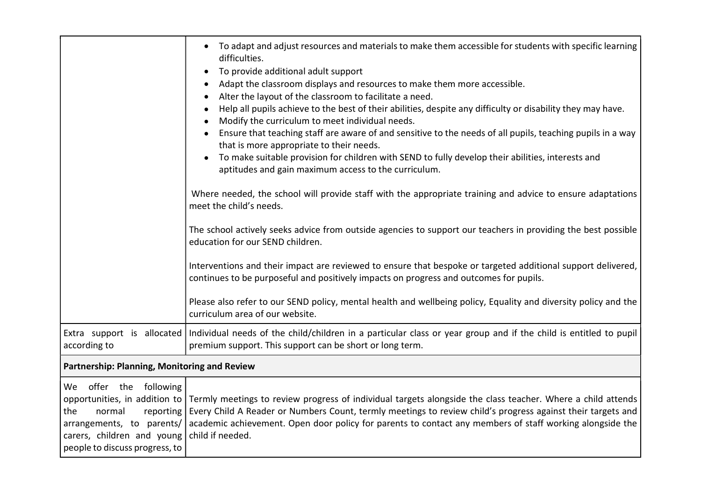|                                                                                                                                                   | To adapt and adjust resources and materials to make them accessible for students with specific learning<br>difficulties.<br>To provide additional adult support<br>$\bullet$<br>Adapt the classroom displays and resources to make them more accessible.<br>$\bullet$<br>Alter the layout of the classroom to facilitate a need.<br>Help all pupils achieve to the best of their abilities, despite any difficulty or disability they may have.<br>Modify the curriculum to meet individual needs.<br>Ensure that teaching staff are aware of and sensitive to the needs of all pupils, teaching pupils in a way<br>that is more appropriate to their needs.<br>To make suitable provision for children with SEND to fully develop their abilities, interests and<br>$\bullet$<br>aptitudes and gain maximum access to the curriculum.<br>Where needed, the school will provide staff with the appropriate training and advice to ensure adaptations<br>meet the child's needs.<br>The school actively seeks advice from outside agencies to support our teachers in providing the best possible<br>education for our SEND children.<br>Interventions and their impact are reviewed to ensure that bespoke or targeted additional support delivered,<br>continues to be purposeful and positively impacts on progress and outcomes for pupils.<br>Please also refer to our SEND policy, mental health and wellbeing policy, Equality and diversity policy and the<br>curriculum area of our website. |  |
|---------------------------------------------------------------------------------------------------------------------------------------------------|------------------------------------------------------------------------------------------------------------------------------------------------------------------------------------------------------------------------------------------------------------------------------------------------------------------------------------------------------------------------------------------------------------------------------------------------------------------------------------------------------------------------------------------------------------------------------------------------------------------------------------------------------------------------------------------------------------------------------------------------------------------------------------------------------------------------------------------------------------------------------------------------------------------------------------------------------------------------------------------------------------------------------------------------------------------------------------------------------------------------------------------------------------------------------------------------------------------------------------------------------------------------------------------------------------------------------------------------------------------------------------------------------------------------------------------------------------------------------------------------------|--|
| Extra support is allocated<br>according to                                                                                                        | Individual needs of the child/children in a particular class or year group and if the child is entitled to pupil<br>premium support. This support can be short or long term.                                                                                                                                                                                                                                                                                                                                                                                                                                                                                                                                                                                                                                                                                                                                                                                                                                                                                                                                                                                                                                                                                                                                                                                                                                                                                                                         |  |
| Partnership: Planning, Monitoring and Review                                                                                                      |                                                                                                                                                                                                                                                                                                                                                                                                                                                                                                                                                                                                                                                                                                                                                                                                                                                                                                                                                                                                                                                                                                                                                                                                                                                                                                                                                                                                                                                                                                      |  |
| We offer the following<br>the<br>normal<br>reporting<br>arrangements, to parents/<br>carers, children and young<br>people to discuss progress, to | opportunities, in addition to Termly meetings to review progress of individual targets alongside the class teacher. Where a child attends<br>Every Child A Reader or Numbers Count, termly meetings to review child's progress against their targets and<br>academic achievement. Open door policy for parents to contact any members of staff working alongside the<br>child if needed.                                                                                                                                                                                                                                                                                                                                                                                                                                                                                                                                                                                                                                                                                                                                                                                                                                                                                                                                                                                                                                                                                                             |  |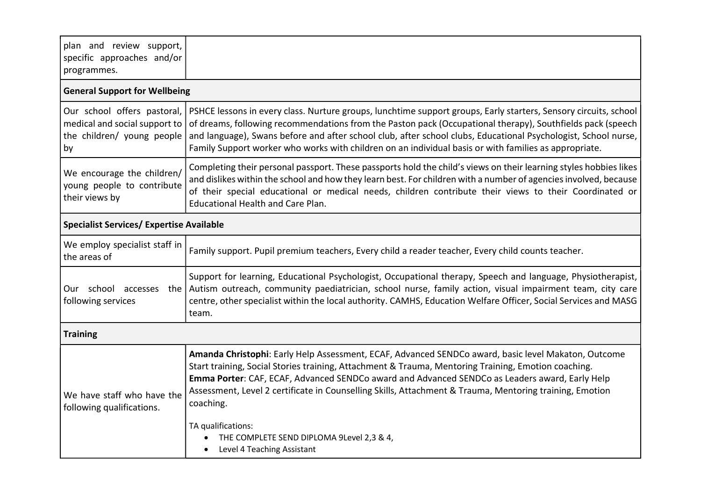| plan and review support,<br>specific approaches and/or<br>programmes.                            |                                                                                                                                                                                                                                                                                                                                                                                                                                                                                                         |  |  |
|--------------------------------------------------------------------------------------------------|---------------------------------------------------------------------------------------------------------------------------------------------------------------------------------------------------------------------------------------------------------------------------------------------------------------------------------------------------------------------------------------------------------------------------------------------------------------------------------------------------------|--|--|
| <b>General Support for Wellbeing</b>                                                             |                                                                                                                                                                                                                                                                                                                                                                                                                                                                                                         |  |  |
| Our school offers pastoral,<br>medical and social support to<br>the children/ young people<br>by | PSHCE lessons in every class. Nurture groups, lunchtime support groups, Early starters, Sensory circuits, school<br>of dreams, following recommendations from the Paston pack (Occupational therapy), Southfields pack (speech<br>and language), Swans before and after school club, after school clubs, Educational Psychologist, School nurse,<br>Family Support worker who works with children on an individual basis or with families as appropriate.                                               |  |  |
| We encourage the children/<br>young people to contribute<br>their views by                       | Completing their personal passport. These passports hold the child's views on their learning styles hobbies likes<br>and dislikes within the school and how they learn best. For children with a number of agencies involved, because<br>of their special educational or medical needs, children contribute their views to their Coordinated or<br><b>Educational Health and Care Plan.</b>                                                                                                             |  |  |
| <b>Specialist Services/ Expertise Available</b>                                                  |                                                                                                                                                                                                                                                                                                                                                                                                                                                                                                         |  |  |
| We employ specialist staff in<br>the areas of                                                    | Family support. Pupil premium teachers, Every child a reader teacher, Every child counts teacher.                                                                                                                                                                                                                                                                                                                                                                                                       |  |  |
| following services                                                                               | Support for learning, Educational Psychologist, Occupational therapy, Speech and language, Physiotherapist,<br>Our school accesses the Autism outreach, community paediatrician, school nurse, family action, visual impairment team, city care<br>centre, other specialist within the local authority. CAMHS, Education Welfare Officer, Social Services and MASG<br>team.                                                                                                                             |  |  |
| <b>Training</b>                                                                                  |                                                                                                                                                                                                                                                                                                                                                                                                                                                                                                         |  |  |
| We have staff who have the<br>following qualifications.                                          | Amanda Christophi: Early Help Assessment, ECAF, Advanced SENDCo award, basic level Makaton, Outcome<br>Start training, Social Stories training, Attachment & Trauma, Mentoring Training, Emotion coaching.<br>Emma Porter: CAF, ECAF, Advanced SENDCo award and Advanced SENDCo as Leaders award, Early Help<br>Assessment, Level 2 certificate in Counselling Skills, Attachment & Trauma, Mentoring training, Emotion<br>coaching.<br>TA qualifications:<br>THE COMPLETE SEND DIPLOMA 9Level 2,3 & 4, |  |  |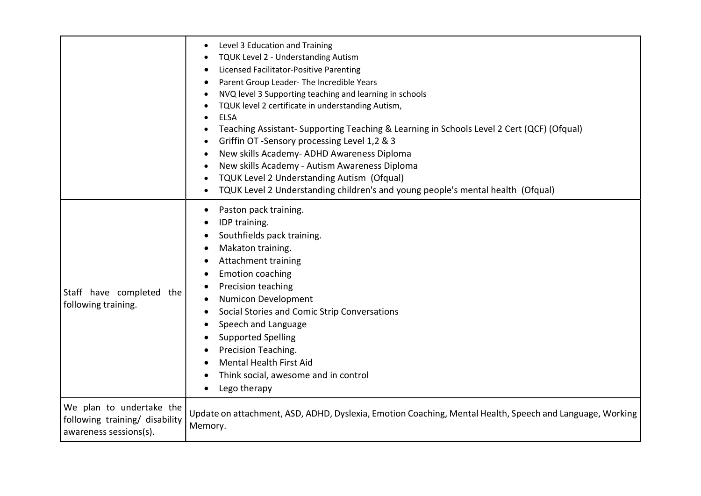|                                                                                      | Level 3 Education and Training<br>TQUK Level 2 - Understanding Autism<br>Licensed Facilitator-Positive Parenting<br>Parent Group Leader- The Incredible Years<br>NVQ level 3 Supporting teaching and learning in schools<br>TQUK level 2 certificate in understanding Autism,<br><b>ELSA</b><br>Teaching Assistant-Supporting Teaching & Learning in Schools Level 2 Cert (QCF) (Ofqual)<br>Griffin OT -Sensory processing Level 1,2 & 3<br>New skills Academy- ADHD Awareness Diploma<br>$\bullet$<br>New skills Academy - Autism Awareness Diploma<br>TQUK Level 2 Understanding Autism (Ofqual)<br>TQUK Level 2 Understanding children's and young people's mental health (Ofqual) |
|--------------------------------------------------------------------------------------|---------------------------------------------------------------------------------------------------------------------------------------------------------------------------------------------------------------------------------------------------------------------------------------------------------------------------------------------------------------------------------------------------------------------------------------------------------------------------------------------------------------------------------------------------------------------------------------------------------------------------------------------------------------------------------------|
| Staff have completed the<br>following training.                                      | Paston pack training.<br>IDP training.<br>Southfields pack training.<br>Makaton training.<br><b>Attachment training</b><br><b>Emotion coaching</b><br>Precision teaching<br>Numicon Development<br>Social Stories and Comic Strip Conversations<br>Speech and Language<br><b>Supported Spelling</b><br>Precision Teaching.<br><b>Mental Health First Aid</b><br>Think social, awesome and in control<br>Lego therapy                                                                                                                                                                                                                                                                  |
| We plan to undertake the<br>following training/ disability<br>awareness sessions(s). | Update on attachment, ASD, ADHD, Dyslexia, Emotion Coaching, Mental Health, Speech and Language, Working<br>Memory.                                                                                                                                                                                                                                                                                                                                                                                                                                                                                                                                                                   |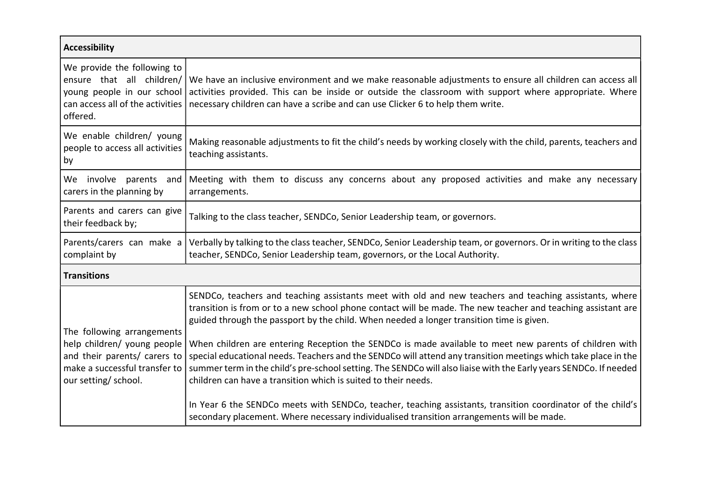| <b>Accessibility</b>                                                                                                                   |                                                                                                                                                                                                                                                                                                                                                                                                                                                                                                                                                |  |
|----------------------------------------------------------------------------------------------------------------------------------------|------------------------------------------------------------------------------------------------------------------------------------------------------------------------------------------------------------------------------------------------------------------------------------------------------------------------------------------------------------------------------------------------------------------------------------------------------------------------------------------------------------------------------------------------|--|
| We provide the following to<br>ensure that all children/<br>young people in our school<br>can access all of the activities<br>offered. | We have an inclusive environment and we make reasonable adjustments to ensure all children can access all<br>activities provided. This can be inside or outside the classroom with support where appropriate. Where<br>necessary children can have a scribe and can use Clicker 6 to help them write.                                                                                                                                                                                                                                          |  |
| We enable children/ young<br>people to access all activities<br>by                                                                     | Making reasonable adjustments to fit the child's needs by working closely with the child, parents, teachers and<br>teaching assistants.                                                                                                                                                                                                                                                                                                                                                                                                        |  |
| We involve parents and<br>carers in the planning by                                                                                    | Meeting with them to discuss any concerns about any proposed activities and make any necessary<br>arrangements.                                                                                                                                                                                                                                                                                                                                                                                                                                |  |
| Parents and carers can give<br>their feedback by;                                                                                      | Talking to the class teacher, SENDCo, Senior Leadership team, or governors.                                                                                                                                                                                                                                                                                                                                                                                                                                                                    |  |
| Parents/carers can make a<br>complaint by                                                                                              | Verbally by talking to the class teacher, SENDCo, Senior Leadership team, or governors. Or in writing to the class<br>teacher, SENDCo, Senior Leadership team, governors, or the Local Authority.                                                                                                                                                                                                                                                                                                                                              |  |
| <b>Transitions</b>                                                                                                                     |                                                                                                                                                                                                                                                                                                                                                                                                                                                                                                                                                |  |
| The following arrangements<br>help children/ young people<br>and their parents/ carers to                                              | SENDCo, teachers and teaching assistants meet with old and new teachers and teaching assistants, where<br>transition is from or to a new school phone contact will be made. The new teacher and teaching assistant are<br>guided through the passport by the child. When needed a longer transition time is given.<br>When children are entering Reception the SENDCo is made available to meet new parents of children with<br>special educational needs. Teachers and the SENDCo will attend any transition meetings which take place in the |  |
| make a successful transfer to<br>our setting/ school.                                                                                  | summer term in the child's pre-school setting. The SENDCo will also liaise with the Early years SENDCo. If needed<br>children can have a transition which is suited to their needs.                                                                                                                                                                                                                                                                                                                                                            |  |
|                                                                                                                                        | In Year 6 the SENDCo meets with SENDCo, teacher, teaching assistants, transition coordinator of the child's<br>secondary placement. Where necessary individualised transition arrangements will be made.                                                                                                                                                                                                                                                                                                                                       |  |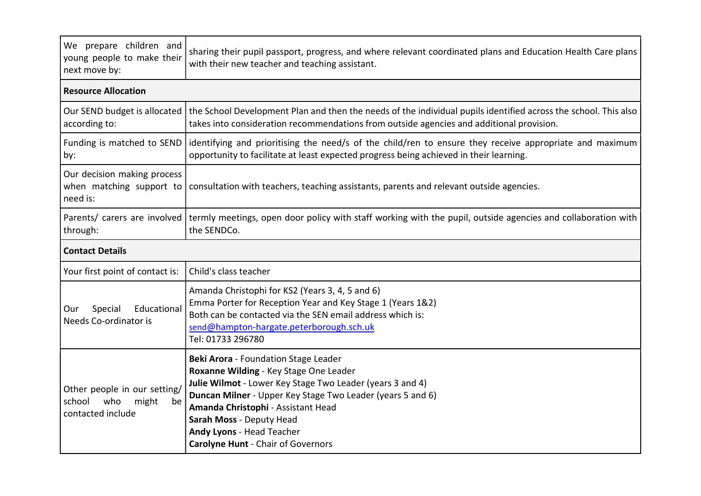| We prepare children and<br>young people to make their<br>next move by:            | sharing their pupil passport, progress, and where relevant coordinated plans and Education Health Care plans<br>with their new teacher and teaching assistant.                                                                                                                                                                                        |  |
|-----------------------------------------------------------------------------------|-------------------------------------------------------------------------------------------------------------------------------------------------------------------------------------------------------------------------------------------------------------------------------------------------------------------------------------------------------|--|
| <b>Resource Allocation</b>                                                        |                                                                                                                                                                                                                                                                                                                                                       |  |
| Our SEND budget is allocated<br>according to:                                     | the School Development Plan and then the needs of the individual pupils identified across the school. This also<br>takes into consideration recommendations from outside agencies and additional provision.                                                                                                                                           |  |
| Funding is matched to SEND<br>by:                                                 | identifying and prioritising the need/s of the child/ren to ensure they receive appropriate and maximum<br>opportunity to facilitate at least expected progress being achieved in their learning.                                                                                                                                                     |  |
| Our decision making process<br>when matching support to<br>need is:               | consultation with teachers, teaching assistants, parents and relevant outside agencies.                                                                                                                                                                                                                                                               |  |
| Parents/ carers are involved<br>through:                                          | termly meetings, open door policy with staff working with the pupil, outside agencies and collaboration with<br>the SENDCo.                                                                                                                                                                                                                           |  |
| <b>Contact Details</b>                                                            |                                                                                                                                                                                                                                                                                                                                                       |  |
| Your first point of contact is:                                                   | Child's class teacher                                                                                                                                                                                                                                                                                                                                 |  |
| Educational<br>Special<br>Our<br>Needs Co-ordinator is                            | Amanda Christophi for KS2 (Years 3, 4, 5 and 6)<br>Emma Porter for Reception Year and Key Stage 1 (Years 1&2)<br>Both can be contacted via the SEN email address which is:<br>send@hampton-hargate.peterborough.sch.uk<br>Tel: 01733 296780                                                                                                           |  |
| Other people in our setting/<br>who<br>school<br>might<br>be<br>contacted include | Beki Arora - Foundation Stage Leader<br>Roxanne Wilding - Key Stage One Leader<br>Julie Wilmot - Lower Key Stage Two Leader (years 3 and 4)<br>Duncan Milner - Upper Key Stage Two Leader (years 5 and 6)<br>Amanda Christophi - Assistant Head<br>Sarah Moss - Deputy Head<br>Andy Lyons - Head Teacher<br><b>Carolyne Hunt - Chair of Governors</b> |  |